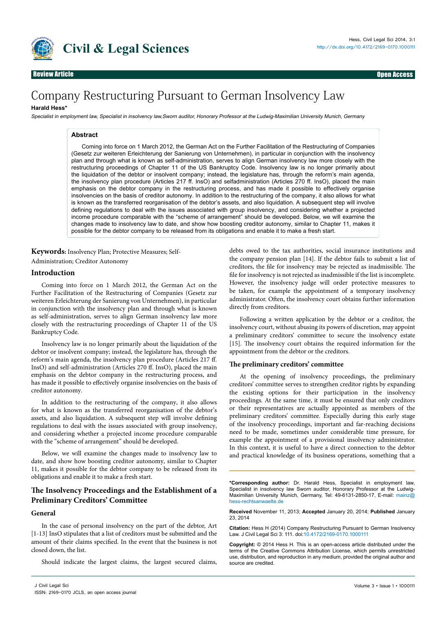

# Company Restructuring Pursuant to German Insolvency Law

# **Harald Hess\***

Specialist in employment law, Specialist in insolvency law,Sworn auditor, Honorary Professor at the Ludwig-Maximilian University Munich, Germany

# **Abstract**

Coming into force on 1 March 2012, the German Act on the Further Facilitation of the Restructuring of Companies (Gesetz zur weiteren Erleichterung der Sanierung von Unternehmen), in particular in conjunction with the insolvency plan and through what is known as self-administration, serves to align German insolvency law more closely with the restructuring proceedings of Chapter 11 of the US Bankruptcy Code. Insolvency law is no longer primarily about the liquidation of the debtor or insolvent company; instead, the legislature has, through the reform's main agenda, the insolvency plan procedure (Articles 217 ff. InsO) and selfadministration (Articles 270 ff. InsO), placed the main emphasis on the debtor company in the restructuring process, and has made it possible to effectively organise insolvencies on the basis of creditor autonomy. In addition to the restructuring of the company, it also allows for what is known as the transferred reorganisation of the debtor's assets, and also liquidation. A subsequent step will involve defining regulations to deal with the issues associated with group insolvency, and considering whether a projected income procedure comparable with the "scheme of arrangement" should be developed. Below, we will examine the changes made to insolvency law to date, and show how boosting creditor autonomy, similar to Chapter 11, makes it possible for the debtor company to be released from its obligations and enable it to make a fresh start.

**Keywords:** Insolvency Plan; Protective Measures; Self-

Administration; Creditor Autonomy

# **Introduction**

Coming into force on 1 March 2012, the German Act on the Further Facilitation of the Restructuring of Companies (Gesetz zur weiteren Erleichterung der Sanierung von Unternehmen), in particular in conjunction with the insolvency plan and through what is known as self-administration, serves to align German insolvency law more closely with the restructuring proceedings of Chapter 11 of the US Bankruptcy Code.

Insolvency law is no longer primarily about the liquidation of the debtor or insolvent company; instead, the legislature has, through the reform's main agenda, the insolvency plan procedure (Articles 217 ff. InsO) and self-administration (Articles 270 ff. InsO), placed the main emphasis on the debtor company in the restructuring process, and has made it possible to effectively organise insolvencies on the basis of creditor autonomy.

In addition to the restructuring of the company, it also allows for what is known as the transferred reorganisation of the debtor's assets, and also liquidation. A subsequent step will involve defining regulations to deal with the issues associated with group insolvency, and considering whether a projected income procedure comparable with the "scheme of arrangement" should be developed.

Below, we will examine the changes made to insolvency law to date, and show how boosting creditor autonomy, similar to Chapter 11, makes it possible for the debtor company to be released from its obligations and enable it to make a fresh start.

# **The Insolvency Proceedings and the Establishment of a Preliminary Creditors' Committee**

#### **General**

In the case of personal insolvency on the part of the debtor, Art [1-13] InsO stipulates that a list of creditors must be submitted and the amount of their claims specified. In the event that the business is not closed down, the list.

Should indicate the largest claims, the largest secured claims,

debts owed to the tax authorities, social insurance institutions and the company pension plan [14]. If the debtor fails to submit a list of creditors, the file for insolvency may be rejected as inadmissible. The file for insolvency is not rejected as inadmissible if the list is incomplete. However, the insolvency judge will order protective measures to be taken, for example the appointment of a temporary insolvency administrator. Often, the insolvency court obtains further information directly from creditors.

Following a written application by the debtor or a creditor, the insolvency court, without abusing its powers of discretion, may appoint a preliminary creditors' committee to secure the insolvency estate [15]. The insolvency court obtains the required information for the appointment from the debtor or the creditors.

# **The preliminary creditors' committee**

At the opening of insolvency proceedings, the preliminary creditors' committee serves to strengthen creditor rights by expanding the existing options for their participation in the insolvency proceedings. At the same time, it must be ensured that only creditors or their representatives are actually appointed as members of the preliminary creditors' committee. Especially during this early stage of the insolvency proceedings, important and far-reaching decisions need to be made, sometimes under considerable time pressure, for example the appointment of a provisional insolvency administrator. In this context, it is useful to have a direct connection to the debtor and practical knowledge of its business operations, something that a

**\*Corresponding author:** Dr. Harald Hess, Specialist in employment law, Specialist in insolvency law Sworn auditor, Honorary Professor at the Ludwig-Maximilian University Munich, Germany, Tel: 49-6131-2850-17, E-mail: mainz@ hess-rechtsanwaelte.de

**Received** November 11, 2013; **Accepted** January 20, 2014; **Published** January 23, 2014

**Citation:** Hess H (2014) Company Restructuring Pursuant to German Insolvency Law. J Civil Legal Sci 3: 111. doi:[10.4172/2169-0170.1000111](http://dx.doi.org/10.4172/2169-0170.1000111)

**Copyright:** © 2014 Hess H. This is an open-access article distributed under the terms of the Creative Commons Attribution License, which permits unrestricted use, distribution, and reproduction in any medium, provided the original author and source are credited.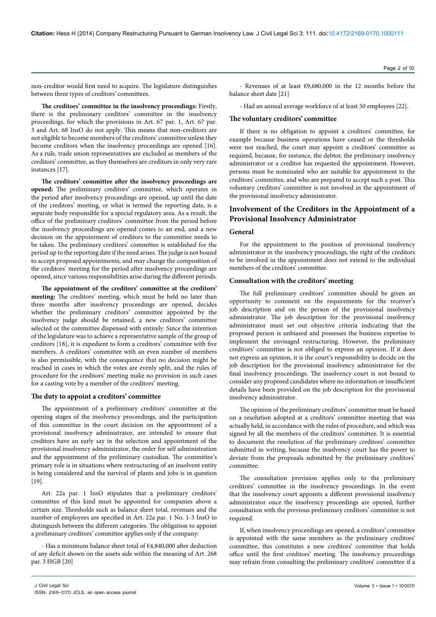non-creditor would first need to acquire. The legislature distinguishes between three types of creditors' committees.

**The creditors' committee in the insolvency proceedings:** Firstly, there is the preliminary creditors' committee in the insolvency proceedings, for which the provisions in Art. 67 par. 1, Art. 67 par. 3 and Art. 68 InsO do not apply. This means that non-creditors are not eligible to become members of the creditors' committee unless they become creditors when the insolvency proceedings are opened [16]. As a rule, trade union representatives are excluded as members of the creditors' committee, as they themselves are creditors in only very rare instances [17].

**The creditors' committee after the insolvency proceedings are opened:** The preliminary creditors' committee, which operates in the period after insolvency proceedings are opened, up until the date of the creditors' meeting, or what is termed the reporting date, is a separate body responsible for a special regulatory area. As a result, the office of the preliminary creditors' committee from the period before the insolvency proceedings are opened comes to an end, and a new decision on the appointment of creditors to the committee needs to be taken. The preliminary creditors' committee is established for the period up to the reporting date if the need arises. The judge is not bound to accept proposed appointments, and may change the composition of the creditors' meeting for the period after insolvency proceedings are opened, since various responsibilities arise during the different periods.

**The appointment of the creditors' committee at the creditors' meeting:** The creditors' meeting, which must be held no later than three months after insolvency proceedings are opened, decides whether the preliminary creditors' committee appointed by the insolvency judge should be retained, a new creditors' committee selected or the committee dispensed with entirely. Since the intention of the legislature was to achieve a representative sample of the group of creditors [18], it is expedient to form a creditors' committee with five members. A creditors' committee with an even number of members is also permissible, with the consequence that no decision might be reached in cases in which the votes are evenly split, and the rules of procedure for the creditors' meeting make no provision in such cases for a casting vote by a member of the creditors' meeting.

# **The duty to appoint a creditors' committee**

The appointment of a preliminary creditors' committee at the opening stages of the insolvency proceedings, and the participation of this committee in the court decision on the appointment of a provisional insolvency administrator, are intended to ensure that creditors have an early say in the selection and appointment of the provisional insolvency administrator, the order for self administration and the appointment of the preliminary custodian. The committee's primary role is in situations where restructuring of an insolvent entity is being considered and the survival of plants and jobs is in question [19].

Art. 22a par. 1 InsO stipulates that a preliminary creditors' committee of this kind must be appointed for companies above a certain size. Thresholds such as balance sheet total, revenues and the number of employees are specified in Art. 22a par. 1 No. 1-3 InsO to distinguish between the different categories. The obligation to appoint a preliminary creditors' committee applies only if the company:

- Has a minimum balance sheet total of €4,840,000 after deduction of any deficit shown on the assets side within the meaning of Art. 268 par. 3 HGB [20]

- Revenues of at least €9,680,000 in the 12 months before the balance sheet date [21]

- Had an annual average workforce of at least 50 employees [22].

# **The voluntary creditors' committee**

If there is no obligation to appoint a creditors' committee, for example because business operations have ceased or the thresholds were not reached, the court may appoint a creditors' committee as required, because, for instance, the debtor, the preliminary insolvency administrator or a creditor has requested the appointment. However, persons must be nominated who are suitable for appointment to the creditors' committee, and who are prepared to accept such a post. This voluntary creditors' committee is not involved in the appointment of the provisional insolvency administrator.

# **Involvement of the Creditors in the Appointment of a Provisional Insolvency Administrator**

# **General**

For the appointment to the position of provisional insolvency administrator in the insolvency proceedings, the right of the creditors to be involved in the appointment does not extend to the individual members of the creditors' committee.

# **Consultation with the creditors' meeting**

The full preliminary creditors' committee should be given an opportunity to comment on the requirements for the receiver's job description and on the person of the provisional insolvency administrator. The job description for the provisional insolvency administrator must set out objective criteria indicating that the proposed person is unbiased and possesses the business expertise to implement the envisaged restructuring. However, the preliminary creditors' committee is not obliged to express an opinion. If it does not express an opinion, it is the court's responsibility to decide on the job description for the provisional insolvency administrator for the final insolvency proceedings. The insolvency court is not bound to consider any proposed candidates where no information or insufficient details have been provided on the job description for the provisional insolvency administrator.

The opinion of the preliminary creditors' committee must be based on a resolution adopted at a creditors' committee meeting that was actually held, in accordance with the rules of procedure, and which was signed by all the members of the creditors' committee. It is essential to document the resolution of the preliminary creditors' committee submitted in writing, because the insolvency court has the power to deviate from the proposals submitted by the preliminary creditors' committee.

The consultation provision applies only to the preliminary creditors' committee in the insolvency proceedings. In the event that the insolvency court appoints a different provisional insolvency administrator once the insolvency proceedings are opened, further consultation with the previous preliminary creditors' committee is not required.

If, when insolvency proceedings are opened, a creditors' committee is appointed with the same members as the preliminary creditors' committee, this constitutes a new creditors' committee that holds office until the first creditors' meeting. The insolvency proceedings may refrain from consulting the preliminary creditors' committee if a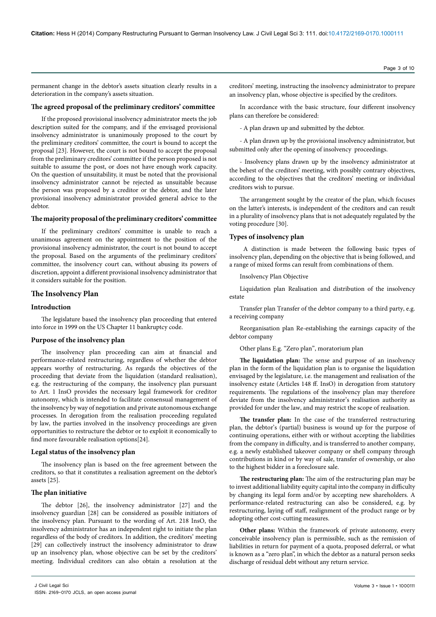permanent change in the debtor's assets situation clearly results in a deterioration in the company's assets situation.

# **The agreed proposal of the preliminary creditors' committee**

If the proposed provisional insolvency administrator meets the job description suited for the company, and if the envisaged provisional insolvency administrator is unanimously proposed to the court by the preliminary creditors' committee, the court is bound to accept the proposal [23]. However, the court is not bound to accept the proposal from the preliminary creditors' committee if the person proposed is not suitable to assume the post, or does not have enough work capacity. On the question of unsuitability, it must be noted that the provisional insolvency administrator cannot be rejected as unsuitable because the person was proposed by a creditor or the debtor, and the later provisional insolvency administrator provided general advice to the debtor.

# **The majority proposal of the preliminary creditors' committee**

If the preliminary creditors' committee is unable to reach a unanimous agreement on the appointment to the position of the provisional insolvency administrator, the court is not bound to accept the proposal. Based on the arguments of the preliminary creditors' committee, the insolvency court can, without abusing its powers of discretion, appoint a different provisional insolvency administrator that it considers suitable for the position.

## **The Insolvency Plan**

#### **Introduction**

The legislature based the insolvency plan proceeding that entered into force in 1999 on the US Chapter 11 bankruptcy code.

# **Purpose of the insolvency plan**

The insolvency plan proceeding can aim at financial and performance-related restructuring, regardless of whether the debtor appears worthy of restructuring. As regards the objectives of the proceeding that deviate from the liquidation (standard realisation), e.g. the restructuring of the company, the insolvency plan pursuant to Art. 1 InsO provides the necessary legal framework for creditor autonomy, which is intended to facilitate consensual management of the insolvency by way of negotiation and private autonomous exchange processes. In derogation from the realisation proceeding regulated by law, the parties involved in the insolvency proceedings are given opportunities to restructure the debtor or to exploit it economically to find more favourable realisation options[24].

#### **Legal status of the insolvency plan**

The insolvency plan is based on the free agreement between the creditors, so that it constitutes a realisation agreement on the debtor's assets [25].

#### **The plan initiative**

The debtor [26], the insolvency administrator [27] and the insolvency guardian [28] can be considered as possible initiators of the insolvency plan. Pursuant to the wording of Art. 218 InsO, the insolvency administrator has an independent right to initiate the plan regardless of the body of creditors. In addition, the creditors' meeting [29] can collectively instruct the insolvency administrator to draw up an insolvency plan, whose objective can be set by the creditors' meeting. Individual creditors can also obtain a resolution at the creditors' meeting, instructing the insolvency administrator to prepare an insolvency plan, whose objective is specified by the creditors.

In accordance with the basic structure, four different insolvency plans can therefore be considered:

- A plan drawn up and submitted by the debtor.

- A plan drawn up by the provisional insolvency administrator, but submitted only after the opening of insolvency proceedings.

- Insolvency plans drawn up by the insolvency administrator at the behest of the creditors' meeting, with possibly contrary objectives, according to the objectives that the creditors' meeting or individual creditors wish to pursue.

The arrangement sought by the creator of the plan, which focuses on the latter's interests, is independent of the creditors and can result in a plurality of insolvency plans that is not adequately regulated by the voting procedure [30].

# **Types of insolvency plan**

 A distinction is made between the following basic types of insolvency plan, depending on the objective that is being followed, and a range of mixed forms can result from combinations of them.

Insolvency Plan Objective

Liquidation plan Realisation and distribution of the insolvency estate

Transfer plan Transfer of the debtor company to a third party, e.g. a receiving company

Reorganisation plan Re-establishing the earnings capacity of the debtor company

Other plans E.g. "Zero plan", moratorium plan

**The liquidation plan:** The sense and purpose of an insolvency plan in the form of the liquidation plan is to organise the liquidation envisaged by the legislature, i.e. the management and realisation of the insolvency estate (Articles 148 ff. InsO) in derogation from statutory requirements. The regulations of the insolvency plan may therefore deviate from the insolvency administrator's realisation authority as provided for under the law, and may restrict the scope of realisation.

**The transfer plan:** In the case of the transferred restructuring plan, the debtor's (partial) business is wound up for the purpose of continuing operations, either with or without accepting the liabilities from the company in difficulty, and is transferred to another company, e.g. a newly established takeover company or shell company through contributions in kind or by way of sale, transfer of ownership, or also to the highest bidder in a foreclosure sale.

**The restructuring plan:** The aim of the restructuring plan may be to invest additional liability equity capital into the company in difficulty by changing its legal form and/or by accepting new shareholders. A performance-related restructuring can also be considered, e.g. by restructuring, laying off staff, realignment of the product range or by adopting other cost-cutting measures.

**Other plans:** Within the framework of private autonomy, every conceivable insolvency plan is permissible, such as the remission of liabilities in return for payment of a quota, proposed deferral, or what is known as a "zero plan", in which the debtor as a natural person seeks discharge of residual debt without any return service.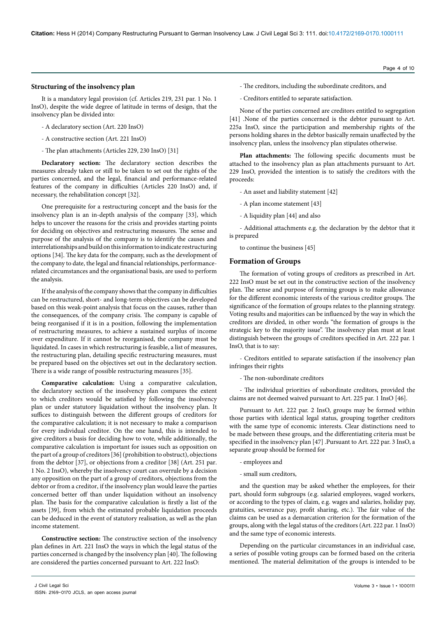# **Structuring of the insolvency plan**

It is a mandatory legal provision (cf. Articles 219, 231 par. 1 No. 1 InsO), despite the wide degree of latitude in terms of design, that the insolvency plan be divided into:

- A declaratory section (Art. 220 InsO)
- A constructive section (Art. 221 InsO)
- The plan attachments (Articles 229, 230 InsO) [31]

**Declaratory section:** The declaratory section describes the measures already taken or still to be taken to set out the rights of the parties concerned, and the legal, financial and performance-related features of the company in difficulties (Articles 220 InsO) and, if necessary, the rehabilitation concept [32].

One prerequisite for a restructuring concept and the basis for the insolvency plan is an in-depth analysis of the company [33], which helps to uncover the reasons for the crisis and provides starting points for deciding on objectives and restructuring measures. The sense and purpose of the analysis of the company is to identify the causes and interrelationships and build on this information to indicate restructuring options [34]. The key data for the company, such as the development of the company to date, the legal and financial relationships, performancerelated circumstances and the organisational basis, are used to perform the analysis.

If the analysis of the company shows that the company in difficulties can be restructured, short- and long-term objectives can be developed based on this weak-point analysis that focus on the causes, rather than the consequences, of the company crisis. The company is capable of being reorganised if it is in a position, following the implementation of restructuring measures, to achieve a sustained surplus of income over expenditure. If it cannot be reorganised, the company must be liquidated. In cases in which restructuring is feasible, a list of measures, the restructuring plan, detailing specific restructuring measures, must be prepared based on the objectives set out in the declaratory section. There is a wide range of possible restructuring measures [35].

**Comparative calculation:** Using a comparative calculation, the declaratory section of the insolvency plan compares the extent to which creditors would be satisfied by following the insolvency plan or under statutory liquidation without the insolvency plan. It suffices to distinguish between the different groups of creditors for the comparative calculation; it is not necessary to make a comparison for every individual creditor. On the one hand, this is intended to give creditors a basis for deciding how to vote, while additionally, the comparative calculation is important for issues such as opposition on the part of a group of creditors [36] (prohibition to obstruct), objections from the debtor [37], or objections from a creditor [38] (Art. 251 par. 1 No. 2 InsO), whereby the insolvency court can overrule by a decision any opposition on the part of a group of creditors, objections from the debtor or from a creditor, if the insolvency plan would leave the parties concerned better off than under liquidation without an insolvency plan. The basis for the comparative calculation is firstly a list of the assets [39], from which the estimated probable liquidation proceeds can be deduced in the event of statutory realisation, as well as the plan income statement.

**Constructive section:** The constructive section of the insolvency plan defines in Art. 221 InsO the ways in which the legal status of the parties concerned is changed by the insolvency plan [40]. The following are considered the parties concerned pursuant to Art. 222 InsO:

- Creditors entitled to separate satisfaction.

None of the parties concerned are creditors entitled to segregation [41] .None of the parties concerned is the debtor pursuant to Art. 225a InsO, since the participation and membership rights of the persons holding shares in the debtor basically remain unaffected by the insolvency plan, unless the insolvency plan stipulates otherwise.

**Plan attachments:** The following specific documents must be attached to the insolvency plan as plan attachments pursuant to Art. 229 InsO, provided the intention is to satisfy the creditors with the proceeds:

- An asset and liability statement [42]

- A plan income statement [43]
- A liquidity plan [44] and also

- Additional attachments e.g. the declaration by the debtor that it is prepared

to continue the business [45]

# **Formation of Groups**

The formation of voting groups of creditors as prescribed in Art. 222 InsO must be set out in the constructive section of the insolvency plan. The sense and purpose of forming groups is to make allowance for the different economic interests of the various creditor groups. The significance of the formation of groups relates to the planning strategy. Voting results and majorities can be influenced by the way in which the creditors are divided, in other words "the formation of groups is the strategic key to the majority issue". The insolvency plan must at least distinguish between the groups of creditors specified in Art. 222 par. 1 InsO, that is to say:

- Creditors entitled to separate satisfaction if the insolvency plan infringes their rights

- The non-subordinate creditors

- The individual priorities of subordinate creditors, provided the claims are not deemed waived pursuant to Art. 225 par. 1 InsO [46].

Pursuant to Art. 222 par. 2 InsO, groups may be formed within those parties with identical legal status, grouping together creditors with the same type of economic interests. Clear distinctions need to be made between these groups, and the differentiating criteria must be specified in the insolvency plan [47] .Pursuant to Art. 222 par. 3 InsO, a separate group should be formed for

- employees and
- small sum creditors,

and the question may be asked whether the employees, for their part, should form subgroups (e.g. salaried employees, waged workers, or according to the types of claim, e.g. wages and salaries, holiday pay, gratuities, severance pay, profit sharing, etc.). The fair value of the claims can be used as a demarcation criterion for the formation of the groups, along with the legal status of the creditors (Art. 222 par. 1 InsO) and the same type of economic interests.

Depending on the particular circumstances in an individual case, a series of possible voting groups can be formed based on the criteria mentioned. The material delimitation of the groups is intended to be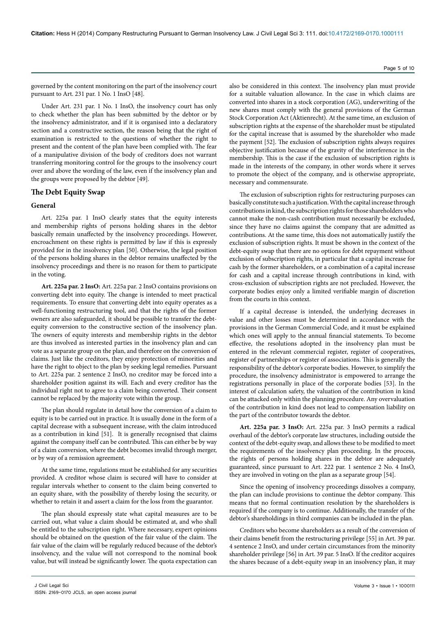governed by the content monitoring on the part of the insolvency court pursuant to Art. 231 par. 1 No. 1 InsO [48].

Under Art. 231 par. 1 No. 1 InsO, the insolvency court has only to check whether the plan has been submitted by the debtor or by the insolvency administrator, and if it is organised into a declaratory section and a constructive section, the reason being that the right of examination is restricted to the questions of whether the right to present and the content of the plan have been complied with. The fear of a manipulative division of the body of creditors does not warrant transferring monitoring control for the groups to the insolvency court over and above the wording of the law, even if the insolvency plan and the groups were proposed by the debtor [49].

# **The Debt Equity Swap**

# **General**

Art. 225a par. 1 InsO clearly states that the equity interests and membership rights of persons holding shares in the debtor basically remain unaffected by the insolvency proceedings. However, encroachment on these rights is permitted by law if this is expressly provided for in the insolvency plan [50]. Otherwise, the legal position of the persons holding shares in the debtor remains unaffected by the insolvency proceedings and there is no reason for them to participate in the voting.

**Art. 225a par. 2 InsO:** Art. 225a par. 2 InsO contains provisions on converting debt into equity. The change is intended to meet practical requirements. To ensure that converting debt into equity operates as a well-functioning restructuring tool, and that the rights of the former owners are also safeguarded, it should be possible to transfer the debtequity conversion to the constructive section of the insolvency plan. The owners of equity interests and membership rights in the debtor are thus involved as interested parties in the insolvency plan and can vote as a separate group on the plan, and therefore on the conversion of claims. Just like the creditors, they enjoy protection of minorities and have the right to object to the plan by seeking legal remedies. Pursuant to Art. 225a par. 2 sentence 2 InsO, no creditor may be forced into a shareholder position against its will. Each and every creditor has the individual right not to agree to a claim being converted. Their consent cannot be replaced by the majority vote within the group.

The plan should regulate in detail how the conversion of a claim to equity is to be carried out in practice. It is usually done in the form of a capital decrease with a subsequent increase, with the claim introduced as a contribution in kind [51]. It is generally recognised that claims against the company itself can be contributed. This can either be by way of a claim conversion, where the debt becomes invalid through merger, or by way of a remission agreement.

At the same time, regulations must be established for any securities provided. A creditor whose claim is secured will have to consider at regular intervals whether to consent to the claim being converted to an equity share, with the possibility of thereby losing the security, or whether to retain it and assert a claim for the loss from the guarantor.

The plan should expressly state what capital measures are to be carried out, what value a claim should be estimated at, and who shall be entitled to the subscription right. Where necessary, expert opinions should be obtained on the question of the fair value of the claim. The fair value of the claim will be regularly reduced because of the debtor's insolvency, and the value will not correspond to the nominal book value, but will instead be significantly lower. The quota expectation can

also be considered in this context. The insolvency plan must provide for a suitable valuation allowance. In the case in which claims are converted into shares in a stock corporation (AG), underwriting of the new shares must comply with the general provisions of the German Stock Corporation Act (Aktienrecht). At the same time, an exclusion of subscription rights at the expense of the shareholder must be stipulated for the capital increase that is assumed by the shareholder who made the payment [52]. The exclusion of subscription rights always requires objective justification because of the gravity of the interference in the membership. This is the case if the exclusion of subscription rights is made in the interests of the company, in other words where it serves to promote the object of the company, and is otherwise appropriate, necessary and commensurate.

The exclusion of subscription rights for restructuring purposes can basically constitute such a justification. With the capital increase through contributions in kind, the subscription rights for those shareholders who cannot make the non-cash contribution must necessarily be excluded, since they have no claims against the company that are admitted as contributions. At the same time, this does not automatically justify the exclusion of subscription rights. It must be shown in the context of the debt-equity swap that there are no options for debt repayment without exclusion of subscription rights, in particular that a capital increase for cash by the former shareholders, or a combination of a capital increase for cash and a capital increase through contributions in kind, with cross-exclusion of subscription rights are not precluded. However, the corporate bodies enjoy only a limited verifiable margin of discretion from the courts in this context.

If a capital decrease is intended, the underlying decreases in value and other losses must be determined in accordance with the provisions in the German Commercial Code, and it must be explained which ones will apply to the annual financial statements. To become effective, the resolutions adopted in the insolvency plan must be entered in the relevant commercial register, register of cooperatives, register of partnerships or register of associations. This is generally the responsibility of the debtor's corporate bodies. However, to simplify the procedure, the insolvency administrator is empowered to arrange the registrations personally in place of the corporate bodies [53]. In the interest of calculation safety, the valuation of the contribution in kind can be attacked only within the planning procedure. Any overvaluation of the contribution in kind does not lead to compensation liability on the part of the contributor towards the debtor.

**Art. 225a par. 3 InsO:** Art. 225a par. 3 InsO permits a radical overhaul of the debtor's corporate law structures, including outside the context of the debt-equity swap, and allows these to be modified to meet the requirements of the insolvency plan proceeding. In the process, the rights of persons holding shares in the debtor are adequately guaranteed, since pursuant to Art. 222 par. 1 sentence 2 No. 4 InsO, they are involved in voting on the plan as a separate group [54].

Since the opening of insolvency proceedings dissolves a company, the plan can include provisions to continue the debtor company. This means that no formal continuation resolution by the shareholders is required if the company is to continue. Additionally, the transfer of the debtor's shareholdings in third companies can be included in the plan.

Creditors who become shareholders as a result of the conversion of their claims benefit from the restructuring privilege [55] in Art. 39 par. 4 sentence 2 InsO, and under certain circumstances from the minority shareholder privilege [56] in Art. 39 par. 5 InsO. If the creditor acquires the shares because of a debt-equity swap in an insolvency plan, it may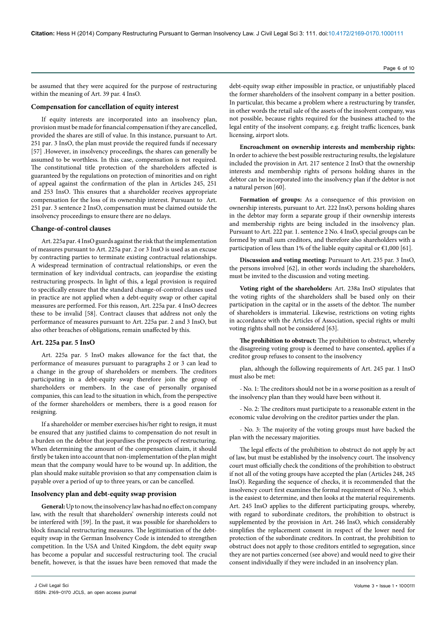be assumed that they were acquired for the purpose of restructuring within the meaning of Art. 39 par. 4 InsO.

# **Compensation for cancellation of equity interest**

If equity interests are incorporated into an insolvency plan, provision must be made for financial compensation if they are cancelled, provided the shares are still of value. In this instance, pursuant to Art. 251 par. 3 InsO, the plan must provide the required funds if necessary [57] .However, in insolvency proceedings, the shares can generally be assumed to be worthless. In this case, compensation is not required. The constitutional title protection of the shareholders affected is guaranteed by the regulations on protection of minorities and on right of appeal against the confirmation of the plan in Articles 245, 251 and 253 InsO. This ensures that a shareholder receives appropriate compensation for the loss of its ownership interest. Pursuant to Art. 251 par. 3 sentence 2 InsO, compensation must be claimed outside the insolvency proceedings to ensure there are no delays.

# **Change-of-control clauses**

Art. 225a par. 4 InsO guards against the risk that the implementation of measures pursuant to Art. 225a par. 2 or 3 InsO is used as an excuse by contracting parties to terminate existing contractual relationships. A widespread termination of contractual relationships, or even the termination of key individual contracts, can jeopardise the existing restructuring prospects. In light of this, a legal provision is required to specifically ensure that the standard change-of-control clauses used in practice are not applied when a debt-equity swap or other capital measures are performed. For this reason, Art. 225a par. 4 InsO decrees these to be invalid [58]. Contract clauses that address not only the performance of measures pursuant to Art. 225a par. 2 and 3 InsO, but also other breaches of obligations, remain unaffected by this.

# **Art. 225a par. 5 InsO**

Art. 225a par. 5 InsO makes allowance for the fact that, the performance of measures pursuant to paragraphs 2 or 3 can lead to a change in the group of shareholders or members. The creditors participating in a debt-equity swap therefore join the group of shareholders or members. In the case of personally organised companies, this can lead to the situation in which, from the perspective of the former shareholders or members, there is a good reason for resigning.

If a shareholder or member exercises his/her right to resign, it must be ensured that any justified claims to compensation do not result in a burden on the debtor that jeopardises the prospects of restructuring. When determining the amount of the compensation claim, it should firstly be taken into account that non-implementation of the plan might mean that the company would have to be wound up. In addition, the plan should make suitable provision so that any compensation claim is payable over a period of up to three years, or can be cancelled.

#### **Insolvency plan and debt-equity swap provision**

**General:** Up to now, the insolvency law has had no effect on company law, with the result that shareholders' ownership interests could not be interfered with [59]. In the past, it was possible for shareholders to block financial restructuring measures. The legitimisation of the debtequity swap in the German Insolvency Code is intended to strengthen competition. In the USA and United Kingdom, the debt equity swap has become a popular and successful restructuring tool. The crucial benefit, however, is that the issues have been removed that made the

debt-equity swap either impossible in practice, or unjustifiably placed the former shareholders of the insolvent company in a better position. In particular, this became a problem where a restructuring by transfer, in other words the retail sale of the assets of the insolvent company, was not possible, because rights required for the business attached to the legal entity of the insolvent company, e.g. freight traffic licences, bank licensing, airport slots.

**Encroachment on ownership interests and membership rights:** In order to achieve the best possible restructuring results, the legislature included the provision in Art. 217 sentence 2 InsO that the ownership interests and membership rights of persons holding shares in the debtor can be incorporated into the insolvency plan if the debtor is not a natural person [60].

**Formation of groups:** As a consequence of this provision on ownership interests, pursuant to Art. 222 InsO, persons holding shares in the debtor may form a separate group if their ownership interests and membership rights are being included in the insolvency plan. Pursuant to Art. 222 par. 1. sentence 2 No. 4 InsO, special groups can be formed by small sum creditors, and therefore also shareholders with a participation of less than 1% of the liable equity capital or  $\epsilon$ 1,000 [61].

**Discussion and voting meeting:** Pursuant to Art. 235 par. 3 InsO, the persons involved [62], in other words including the shareholders, must be invited to the discussion and voting meeting.

**Voting right of the shareholders:** Art. 238a InsO stipulates that the voting rights of the shareholders shall be based only on their participation in the capital or in the assets of the debtor. The number of shareholders is immaterial. Likewise, restrictions on voting rights in accordance with the Articles of Association, special rights or multi voting rights shall not be considered [63].

**The prohibition to obstruct:** The prohibition to obstruct, whereby the disagreeing voting group is deemed to have consented, applies if a creditor group refuses to consent to the insolvency

plan, although the following requirements of Art. 245 par. 1 InsO must also be met:

- No. 1: The creditors should not be in a worse position as a result of the insolvency plan than they would have been without it.

- No. 2: The creditors must participate to a reasonable extent in the economic value devolving on the creditor parties under the plan.

- No. 3: The majority of the voting groups must have backed the plan with the necessary majorities.

The legal effects of the prohibition to obstruct do not apply by act of law, but must be established by the insolvency court. The insolvency court must officially check the conditions of the prohibition to obstruct if not all of the voting groups have accepted the plan (Articles 248, 245 InsO). Regarding the sequence of checks, it is recommended that the insolvency court first examines the formal requirement of No. 3, which is the easiest to determine, and then looks at the material requirements. Art. 245 InsO applies to the different participating groups, whereby, with regard to subordinate creditors, the prohibition to obstruct is supplemented by the provision in Art. 246 InsO, which considerably simplifies the replacement consent in respect of the lower need for protection of the subordinate creditors. In contrast, the prohibition to obstruct does not apply to those creditors entitled to segregation, since they are not parties concerned (see above) and would need to give their consent individually if they were included in an insolvency plan.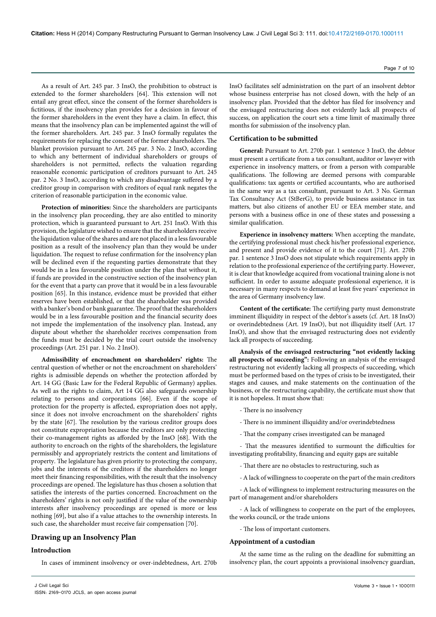As a result of Art. 245 par. 3 InsO, the prohibition to obstruct is extended to the former shareholders [64]. This extension will not entail any great effect, since the consent of the former shareholders is fictitious, if the insolvency plan provides for a decision in favour of the former shareholders in the event they have a claim. In effect, this means that the insolvency plan can be implemented against the will of the former shareholders. Art. 245 par. 3 InsO formally regulates the requirements for replacing the consent of the former shareholders. The blanket provision pursuant to Art. 245 par. 3 No. 2 InsO, according to which any betterment of individual shareholders or groups of shareholders is not permitted, reflects the valuation regarding reasonable economic participation of creditors pursuant to Art. 245 par. 2 No. 3 InsO, according to which any disadvantage suffered by a creditor group in comparison with creditors of equal rank negates the criterion of reasonable participation in the economic value.

**Protection of minorities:** Since the shareholders are participants in the insolvency plan proceeding, they are also entitled to minority protection, which is guaranteed pursuant to Art. 251 InsO. With this provision, the legislature wished to ensure that the shareholders receive the liquidation value of the shares and are not placed in a less favourable position as a result of the insolvency plan than they would be under liquidation. The request to refuse confirmation for the insolvency plan will be declined even if the requesting parties demonstrate that they would be in a less favourable position under the plan that without it, if funds are provided in the constructive section of the insolvency plan for the event that a party can prove that it would be in a less favourable position [65]. In this instance, evidence must be provided that either reserves have been established, or that the shareholder was provided with a banker's bond or bank guarantee. The proof that the shareholders would be in a less favourable position and the financial security does not impede the implementation of the insolvency plan. Instead, any dispute about whether the shareholder receives compensation from the funds must be decided by the trial court outside the insolvency proceedings (Art. 251 par. 1 No. 2 InsO).

**Admissibility of encroachment on shareholders' rights:** The central question of whether or not the encroachment on shareholders' rights is admissible depends on whether the protection afforded by Art. 14 GG (Basic Law for the Federal Republic of Germany) applies. As well as the rights to claim, Art 14 GG also safeguards ownership relating to persons and corporations [66]. Even if the scope of protection for the property is affected, expropriation does not apply, since it does not involve encroachment on the shareholders' rights by the state [67]. The resolution by the various creditor groups does not constitute expropriation because the creditors are only protecting their co-management rights as afforded by the InsO [68]. With the authority to encroach on the rights of the shareholders, the legislature permissibly and appropriately restricts the content and limitations of property. The legislature has given priority to protecting the company, jobs and the interests of the creditors if the shareholders no longer meet their financing responsibilities, with the result that the insolvency proceedings are opened. The legislature has thus chosen a solution that satisfies the interests of the parties concerned. Encroachment on the shareholders' rights is not only justified if the value of the ownership interests after insolvency proceedings are opened is more or less nothing [69], but also if a value attaches to the ownership interests. In such case, the shareholder must receive fair compensation [70].

# **Drawing up an Insolvency Plan**

# **Introduction**

In cases of imminent insolvency or over-indebtedness, Art. 270b

InsO facilitates self administration on the part of an insolvent debtor whose business enterprise has not closed down, with the help of an insolvency plan. Provided that the debtor has filed for insolvency and the envisaged restructuring does not evidently lack all prospects of success, on application the court sets a time limit of maximally three months for submission of the insolvency plan.

# **Certification to be submitted**

**General:** Pursuant to Art. 270b par. 1 sentence 3 InsO, the debtor must present a certificate from a tax consultant, auditor or lawyer with experience in insolvency matters, or from a person with comparable qualifications. The following are deemed persons with comparable qualifications: tax agents or certified accountants, who are authorised in the same way as a tax consultant, pursuant to Art. 3 No. German Tax Consultancy Act (StBerG), to provide business assistance in tax matters, but also citizens of another EU or EEA member state, and persons with a business office in one of these states and possessing a similar qualification.

**Experience in insolvency matters:** When accepting the mandate, the certifying professional must check his/her professional experience, and present and provide evidence of it to the court [71]. Art. 270b par. 1 sentence 3 InsO does not stipulate which requirements apply in relation to the professional experience of the certifying party. However, it is clear that knowledge acquired from vocational training alone is not sufficient. In order to assume adequate professional experience, it is necessary in many respects to demand at least five years' experience in the area of Germany insolvency law.

**Content of the certificate:** The certifying party must demonstrate imminent illiquidity in respect of the debtor's assets (cf. Art. 18 InsO) or overindebtedness (Art. 19 InsO), but not illiquidity itself (Art. 17 InsO), and show that the envisaged restructuring does not evidently lack all prospects of succeeding.

**Analysis of the envisaged restructuring "not evidently lacking all prospects of succeeding":** Following an analysis of the envisaged restructuring not evidently lacking all prospects of succeeding, which must be performed based on the types of crisis to be investigated, their stages and causes, and make statements on the continuation of the business, or the restructuring capability, the certificate must show that it is not hopeless. It must show that:

- There is no insolvency
- There is no imminent illiquidity and/or overindebtedness
- That the company crises investigated can be managed

- That the measures identified to surmount the difficulties for investigating profitability, financing and equity gaps are suitable

- That there are no obstacles to restructuring, such as
- A lack of willingness to cooperate on the part of the main creditors

- A lack of willingness to implement restructuring measures on the part of management and/or shareholders

- A lack of willingness to cooperate on the part of the employees, the works council, or the trade unions

- The loss of important customers.

#### **Appointment of a custodian**

At the same time as the ruling on the deadline for submitting an insolvency plan, the court appoints a provisional insolvency guardian,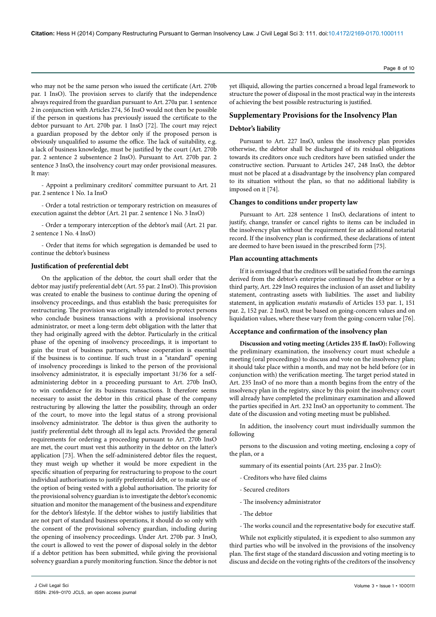who may not be the same person who issued the certificate (Art. 270b par. 1 InsO). The provision serves to clarify that the independence always required from the guardian pursuant to Art. 270a par. 1 sentence 2 in conjunction with Articles 274, 56 InsO would not then be possible if the person in questions has previously issued the certificate to the debtor pursuant to Art. 270b par. 1 InsO [72]. The court may reject a guardian proposed by the debtor only if the proposed person is obviously unqualified to assume the office. The lack of suitability, e.g. a lack of business knowledge, must be justified by the court (Art. 270b par. 2 sentence 2 subsentence 2 InsO). Pursuant to Art. 270b par. 2 sentence 3 InsO, the insolvency court may order provisional measures. It may:

- Appoint a preliminary creditors' committee pursuant to Art. 21 par. 2 sentence 1 No. 1a InsO

- Order a total restriction or temporary restriction on measures of execution against the debtor (Art. 21 par. 2 sentence 1 No. 3 InsO)

- Order a temporary interception of the debtor's mail (Art. 21 par. 2 sentence 1 No. 4 InsO)

- Order that items for which segregation is demanded be used to continue the debtor's business

#### **Justification of preferential debt**

On the application of the debtor, the court shall order that the debtor may justify preferential debt (Art. 55 par. 2 InsO). This provision was created to enable the business to continue during the opening of insolvency proceedings, and thus establish the basic prerequisites for restructuring. The provision was originally intended to protect persons who conclude business transactions with a provisional insolvency administrator, or meet a long-term debt obligation with the latter that they had originally agreed with the debtor. Particularly in the critical phase of the opening of insolvency proceedings, it is important to gain the trust of business partners, whose cooperation is essential if the business is to continue. If such trust in a "standard" opening of insolvency proceedings is linked to the person of the provisional insolvency administrator, it is especially important 31/36 for a selfadministering debtor in a proceeding pursuant to Art. 270b InsO, to win confidence for its business transactions. It therefore seems necessary to assist the debtor in this critical phase of the company restructuring by allowing the latter the possibility, through an order of the court, to move into the legal status of a strong provisional insolvency administrator. The debtor is thus given the authority to justify preferential debt through all its legal acts. Provided the general requirements for ordering a proceeding pursuant to Art. 270b InsO are met, the court must vest this authority in the debtor on the latter's application [73]. When the self-administered debtor files the request, they must weigh up whether it would be more expedient in the specific situation of preparing for restructuring to propose to the court individual authorisations to justify preferential debt, or to make use of the option of being vested with a global authorisation. The priority for the provisional solvency guardian is to investigate the debtor's economic situation and monitor the management of the business and expenditure for the debtor's lifestyle. If the debtor wishes to justify liabilities that are not part of standard business operations, it should do so only with the consent of the provisional solvency guardian, including during the opening of insolvency proceedings. Under Art. 270b par. 3 InsO, the court is allowed to vest the power of disposal solely in the debtor if a debtor petition has been submitted, while giving the provisional solvency guardian a purely monitoring function. Since the debtor is not

yet illiquid, allowing the parties concerned a broad legal framework to structure the power of disposal in the most practical way in the interests of achieving the best possible restructuring is justified.

# **Supplementary Provisions for the Insolvency Plan**

#### **Debtor's liability**

Pursuant to Art. 227 InsO, unless the insolvency plan provides otherwise, the debtor shall be discharged of its residual obligations towards its creditors once such creditors have been satisfied under the constructive section. Pursuant to Articles 247, 248 InsO, the debtor must not be placed at a disadvantage by the insolvency plan compared to its situation without the plan, so that no additional liability is imposed on it [74].

# **Changes to conditions under property law**

Pursuant to Art. 228 sentence 1 InsO, declarations of intent to justify, change, transfer or cancel rights to items can be included in the insolvency plan without the requirement for an additional notarial record. If the insolvency plan is confirmed, these declarations of intent are deemed to have been issued in the prescribed form [75].

#### **Plan accounting attachments**

If it is envisaged that the creditors will be satisfied from the earnings derived from the debtor's enterprise continued by the debtor or by a third party, Art. 229 InsO requires the inclusion of an asset and liability statement, contrasting assets with liabilities. The asset and liability statement, in application *mutatis mutandis* of Articles 153 par. 1, 151 par. 2, 152 par. 2 InsO, must be based on going-concern values and on liquidation values, where these vary from the going-concern value [76].

# **Acceptance and confirmation of the insolvency plan**

**Discussion and voting meeting (Articles 235 ff. InsO):** Following the preliminary examination, the insolvency court must schedule a meeting (oral proceedings) to discuss and vote on the insolvency plan; it should take place within a month, and may not be held before (or in conjunction with) the verification meeting. The target period stated in Art. 235 InsO of no more than a month begins from the entry of the insolvency plan in the registry, since by this point the insolvency court will already have completed the preliminary examination and allowed the parties specified in Art. 232 InsO an opportunity to comment. The date of the discussion and voting meeting must be published.

In addition, the insolvency court must individually summon the following

persons to the discussion and voting meeting, enclosing a copy of the plan, or a

summary of its essential points (Art. 235 par. 2 InsO):

- Creditors who have filed claims
- Secured creditors
- The insolvency administrator
- The debtor
- The works council and the representative body for executive staff.

While not explicitly stipulated, it is expedient to also summon any third parties who will be involved in the provisions of the insolvency plan. The first stage of the standard discussion and voting meeting is to discuss and decide on the voting rights of the creditors of the insolvency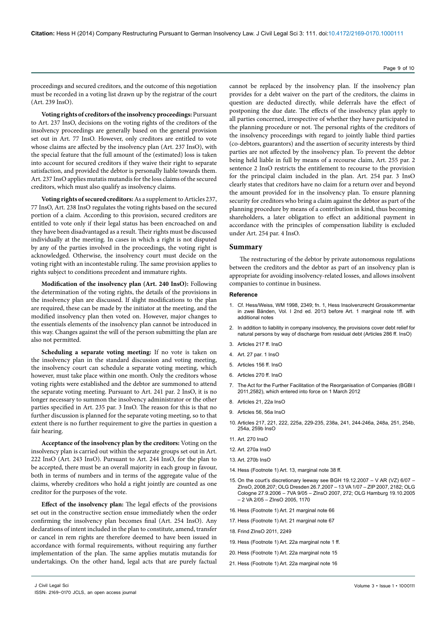proceedings and secured creditors, and the outcome of this negotiation must be recorded in a voting list drawn up by the registrar of the court (Art. 239 InsO).

**Voting rights of creditors of the insolvency proceedings:** Pursuant to Art. 237 InsO, decisions on the voting rights of the creditors of the insolvency proceedings are generally based on the general provision set out in Art. 77 InsO. However, only creditors are entitled to vote whose claims are affected by the insolvency plan (Art. 237 InsO), with the special feature that the full amount of the (estimated) loss is taken into account for secured creditors if they waive their right to separate satisfaction, and provided the debtor is personally liable towards them. Art. 237 InsO applies mutatis mutandis for the loss claims of the secured creditors, which must also qualify as insolvency claims.

**Voting rights of secured creditors:** As a supplement to Articles 237, 77 InsO, Art. 238 InsO regulates the voting rights based on the secured portion of a claim. According to this provision, secured creditors are entitled to vote only if their legal status has been encroached on and they have been disadvantaged as a result. Their rights must be discussed individually at the meeting. In cases in which a right is not disputed by any of the parties involved in the proceedings, the voting right is acknowledged. Otherwise, the insolvency court must decide on the voting right with an incontestable ruling. The same provision applies to rights subject to conditions precedent and immature rights.

**Modification of the insolvency plan (Art. 240 InsO):** Following the determination of the voting rights, the details of the provisions in the insolvency plan are discussed. If slight modifications to the plan are required, these can be made by the initiator at the meeting, and the modified insolvency plan then voted on. However, major changes to the essentials elements of the insolvency plan cannot be introduced in this way. Changes against the will of the person submitting the plan are also not permitted.

**Scheduling a separate voting meeting:** If no vote is taken on the insolvency plan in the standard discussion and voting meeting, the insolvency court can schedule a separate voting meeting, which however, must take place within one month. Only the creditors whose voting rights were established and the debtor are summoned to attend the separate voting meeting. Pursuant to Art. 241 par. 2 InsO, it is no longer necessary to summon the insolvency administrator or the other parties specified in Art. 235 par. 3 InsO. The reason for this is that no further discussion is planned for the separate voting meeting, so to that extent there is no further requirement to give the parties in question a fair hearing.

**Acceptance of the insolvency plan by the creditors:** Voting on the insolvency plan is carried out within the separate groups set out in Art. 222 InsO (Art. 243 InsO). Pursuant to Art. 244 InsO, for the plan to be accepted, there must be an overall majority in each group in favour, both in terms of numbers and in terms of the aggregate value of the claims, whereby creditors who hold a right jointly are counted as one creditor for the purposes of the vote.

**Effect of the insolvency plan:** The legal effects of the provisions set out in the constructive section ensue immediately when the order confirming the insolvency plan becomes final (Art. 254 InsO). Any declarations of intent included in the plan to constitute, amend, transfer or cancel in rem rights are therefore deemed to have been issued in accordance with formal requirements, without requiring any further implementation of the plan. The same applies mutatis mutandis for undertakings. On the other hand, legal acts that are purely factual

cannot be replaced by the insolvency plan. If the insolvency plan provides for a debt waiver on the part of the creditors, the claims in question are deducted directly, while deferrals have the effect of postponing the due date. The effects of the insolvency plan apply to all parties concerned, irrespective of whether they have participated in the planning procedure or not. The personal rights of the creditors of the insolvency proceedings with regard to jointly liable third parties (co-debtors, guarantors) and the assertion of security interests by third parties are not affected by the insolvency plan. To prevent the debtor being held liable in full by means of a recourse claim, Art. 255 par. 2 sentence 2 InsO restricts the entitlement to recourse to the provision for the principal claim included in the plan. Art. 254 par. 3 InsO clearly states that creditors have no claim for a return over and beyond the amount provided for in the insolvency plan. To ensure planning security for creditors who bring a claim against the debtor as part of the planning procedure by means of a contribution in kind, thus becoming shareholders, a later obligation to effect an additional payment in accordance with the principles of compensation liability is excluded under Art. 254 par. 4 InsO.

#### **Summary**

The restructuring of the debtor by private autonomous regulations between the creditors and the debtor as part of an insolvency plan is appropriate for avoiding insolvency-related losses, and allows insolvent companies to continue in business.

#### **Reference**

- 1. Cf. Hess/Weiss, WM 1998, 2349; fn. 1, Hess Insolvenzrecht Grosskommentar in zwei Bänden, Vol. I 2nd ed. 2013 before Art. 1 marginal note 1ff. with additional notes
- 2. In addition to liability in company insolvency, the provisions cover debt relief for natural persons by way of discharge from residual debt (Articles 286 ff. InsO)
- 3. Articles 217 ff. InsO
- 4. Art. 27 par. 1 InsO
- 5. Articles 156 ff. InsO
- $6.$  Articles 270 ff. InsO
- 7. The Act for the Further Facilitation of the Reorganisation of Companies (BGBl I 2011,2582), which entered into force on 1 March 2012
- 8. Articles 21, 22a InsO
- 9. Articles 56, 56a InsO
- 10. Articles 217, 221, 222, 225a, 229-235, 238a, 241, 244-246a, 248a, 251, 254b, 254a, 259b InsO
- 11. Art. 270 InsO
- 12. Art. 270a Ins $\cap$
- 13. Art. 270b InsO
- 14. Hess (Footnote 1) Art. 13, marginal note 38 ff.
- 15. On the court's discretionary leeway see BGH 19.12.2007 V AR (VZ) 6/07 ZInsO, 2008,207; OLG Dresden 26.7.2007 – 13 VA 1/07 – ZIP 2007, 2182; OLG Cologne 27.9.2006 – 7VA 9/05 – ZInsO 2007, 272; OLG Hamburg 19.10.2005 – 2 VA 2/05 – ZInsO 2005, 1170
- 16. Hess (Footnote 1) Art. 21 marginal note 66
- 17. Hess (Footnote 1) Art. 21 marginal note 67
- 18. Frind ZInsO 2011, 2249
- 19. Hess (Footnote 1) Art. 22a marginal note 1 ff.
- 20. Hess (Footnote 1) Art. 22a marginal note 15
- 21. Hess (Footnote 1) Art. 22a marginal note 16

# Page 9 of 10